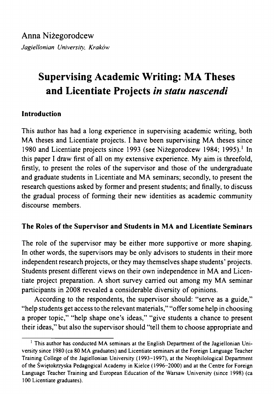# **Supervising Academic Writing: MA Theses and Licentiate Projects** *in statu nascendi*

# **Introduction**

This author has had a long experience in supervising academic writing, both MA theses and Licentiate projects. I have been supervising MA theses since [1](#page-0-0)980 and Licentiate projects since 1993 (see Niżegorodcew 1984; 1995).<sup>1</sup> In this paper I draw first of all on my extensive experience. My aim is threefold, firstly, to present the roles of the supervisor and those of the undergraduate and graduate students in Licentiate and MA seminars; secondly, to present the research questions asked by former and present students; and finally, to discuss the gradual process of forming their new identities as academic community discourse members.

# **The Roles of the Supervisor and Students in MA and Licentiate Seminars**

The role of the supervisor may be either more supportive or more shaping. In other words, the supervisors may be only advisors to students in their more independent research projects, or they may themselves shape students' projects. Students present different views on their own independence in MA and Licentiate project preparation. A short survey carried out among my MA seminar participants in 2008 revealed a considerable diversity of opinions.

According to the respondents, the supervisor should: "serve as a guide," "help students get access to the relevant materials," "offer some help in choosing a proper topic," "help shape one's ideas," "give students a chance to present their ideas," but also the supervisor should "tell them to choose appropriate and

<span id="page-0-0"></span><sup>&</sup>lt;sup>1</sup> This author has conducted MA seminars at the English Department of the Jagiellonian University since 1980 (ca 80 MA graduates) and Licentiate seminars at the Foreign Language Teacher Training College of the Jagiellonian University (1993-1997), at the Neophilological Department ofthe Świętokrzyska Pedagogical Academy in Kielce (1996-2000) and at the Centre for Foreign Language Teacher Training and European Education of the Warsaw University (since 1998) (ca 100 Licentiate graduates).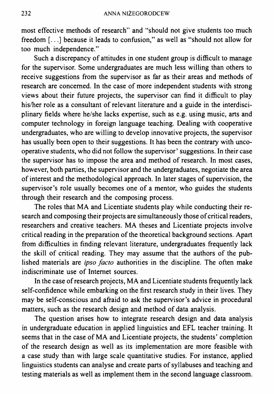most effective methods of research" and "should not give students too much freedom [...] because it leads to confusion," as well as "should not allow for too much independence."

Such a discrepancy of attitudes in one student group is difficult to manage for the supervisor. Some undergraduates are much less willing than others to receive suggestions from the supervisor as far as their areas and methods of research are concerned. In the case of more independent students with strong views about their future projects, the supervisor can find it difficult to play his/her role as a consultant of relevant literature and a guide in the interdisciplinary fields where he/she lacks expertise, such as e.g. using music, arts and computer technology in foreign language teaching. Dealing with cooperative undergraduates, who are willing to develop innovative projects, the supervisor has usually been open to their suggestions. It has been the contrary with uncooperative students, who did not follow the supervisor' suggestions. In their case the supervisor has to impose the area and method of research. In most cases, however, both parties, the supervisor and the undergraduates, negotiate the area of interest and the methodological approach. In later stages of supervision, the supervisor's role usually becomes one of a mentor, who guides the students through their research and the composing process.

The roles that MA and Licentiate students play while conducting their research and composing their projects are simultaneously those of critical readers, researchers and creative teachers. MA theses and Licentiate projects involve critical reading in the preparation of the theoretical background sections. Apart from difficulties in finding relevant literature, undergraduates frequently lack the skill of critical reading. They may assume that the authors of the published materials are *ipso facto* authorities in the discipline. The often make indiscriminate use of Internet sources.

In the case of research projects, MA and Licentiate students frequently lack self-confidence while embarking on the first research study in their lives. They may be self-conscious and afraid to ask the supervisor's advice in procedural matters, such as the research design and method of data analysis.

The question arises how to integrate research design and data analysis in undergraduate education in applied linguistics and EFL teacher training. It seems that in the case of MA and Licentiate projects, the students' completion of the research design as well as its implementation are more feasible with a case study than with large scale quantitative studies. For instance, applied linguistics students can analyse and create parts of syllabuses and teaching and testing materials as well as implement them in the second language classroom.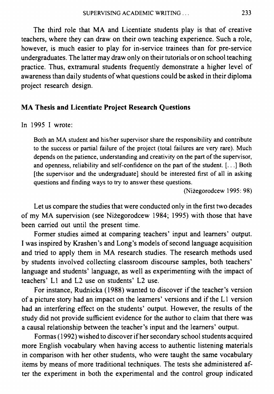The third role that MA and Licentiate students play is that of creative teachers, where they can draw on their own teaching experience. Such a role, however, is much easier to play for in-service trainees than for pre-service undergraduates. The latter may draw only on their tutorials or on school teaching practice. Thus, extramural students frequently demonstrate a higher level of awareness than daily students of what questions could be asked in their diploma project research design.

## **MA Thesis and Licentiate Project Research Questions**

In 1995 I wrote:

Both an MA student and his/her supervisor share the responsibility and contribute to the success or partial failure of the project (total failures are very rare). Much depends on the patience, understanding and creativity on the part of the supervisor, and openness, reliability and self-confidence on the part of the student. [...] Both [the supervisor and the undergraduate] should be interested first of all in asking questions and finding ways to try to answer these questions.

(Nizegorodcew 1995: 98)

Let us compare the studies that were conducted only in the first two decades of my MA supervision (see Nizegorodcew 1984; 1995) with those that have been carried out until the present time.

Former studies aimed at comparing teachers' input and learners' output. I was inspired by Krashen's and Long's models of second language acquisition and tried to apply them in MA research studies. The research methods used by students involved collecting classroom discourse samples, both teachers' language and students' language, as well as experimenting with the impact of teachers' LI and L2 use on students' L2 use.

For instance, Rudnicka (1988) wanted to discover if the teacher's version of a picture story had an impact on the learners' versions and ifthe LI version had an interfering effect on the students' output. However, the results of the study did not provide sufficient evidence for the author to claim that there was a causal relationship between the teacher's input and the learners' output.

Formas (1992) wished to discover if her secondary school students acquired more English vocabulary when having access to authentic listening materials in comparison with her other students, who were taught the same vocabulary items by means of more traditional techniques. The tests she administered after the experiment in both the experimental and the control group indicated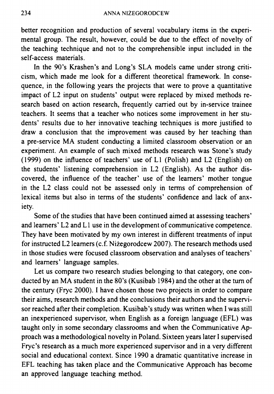better recognition and production of several vocabulary items in the experimental group. The result, however, could be due to the effect of novelty of the teaching technique and not to the comprehensible input included in the self-access materials.

In the 90's Krashen's and Long's SLA models came under strong criticism, which made me look for a different theoretical framework. In consequence, in the following years the projects that were to prove a quantitative impact of L2 input on students' output were replaced by mixed methods research based on action research, frequently carried out by in-service trainee teachers. It seems that a teacher who notices some improvement in her students' results due to her innovative teaching techniques is more justified to draw a conclusion that the improvement was caused by her teaching than a pre-service MA student conducting a limited classroom observation or an experiment. An example of such mixed methods research was Stone's study (1999) on the influence of teachers' use of LI (Polish) and L2 (English) on the students' listening comprehension in L2 (English). As the author discovered, the influence of the teacher' use of the learners' mother tongue in the L2 class could not be assessed only in terms of comprehension of lexical items but also in terms of the students' confidence and lack of anxiety.

Some of the studies that have been continued aimed at assessing teachers' and learners' L2 and L1 use in the development of communicative competence. They have been motivated by my own interest in different treatments of input for instructed L2 learners (c.f. Nizegorodcew 2007). The research methods used in those studies were focused classroom observation and analyses of teachers' and learners' language samples.

Let us compare two research studies belonging to that category, one conducted by an MA student in the 80's (Kusibab 1984) and the other at the turn of the century (Frye 2000). I have chosen those two projects in order to compare their aims, research methods and the conclusions their authors and the supervisor reached after their completion. Kusibab's study was written when I was still an inexperienced supervisor, when English as a foreign language (EFL) was taught only in some secondary classrooms and when the Communicative Approach was a methodological novelty in Poland. Sixteen years later I supervised Frye's research as a much more experienced supervisor and in a very different social and educational context. Since 1990 a dramatic quantitative increase in EFL teaching has taken place and the Communicative Approach has become an approved language teaching method.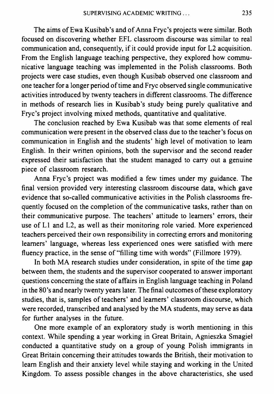The aims of Ewa Kusibab's and of Anna Frye's projects were similar. Both focused on discovering whether EFL classroom discourse was similar to real communication and, consequently, if it could provide input for L2 acquisition. From the English language teaching perspective, they explored how communicative language teaching was implemented in the Polish classrooms. Both projects were case studies, even though Kusibab observed one classroom and one teacher for a longer period of time and Frye observed single communicative activities introduced by twenty teachers in different classrooms. The difference in methods of research lies in Kusibab's study being purely qualitative and Frye's project involving mixed methods, quantitative and qualitative.

The conclusion reached by Ewa Kusibab was that some elements of real communication were present in the observed class due to the teacher's focus on communication in English and the students' high level of motivation to learn English. In their written opinions, both the supervisor and the second reader expressed their satisfaction that the student managed to carry out a genuine piece of classroom research.

Anna Frye's project was modified a few times under my guidance. The final version provided very interesting classroom discourse data, which gave evidence that so-called communicative activities in the Polish classrooms frequently focused on the completion of the communicative tasks, rather than on their communicative purpose. The teachers' attitude to learners' errors, their use of LI and L2, as well as their monitoring role varied. More experienced teachers perceived their own responsibility in correcting errors and monitoring learners' language, whereas less experienced ones were satisfied with mere fluency practice, in the sense of "filling time with words" (Fillmore 1979).

In both MA research studies under consideration, in spite of the time gap between them, the students and the supervisor cooperated to answer important questions concerning the state of affairs in English language teaching in Poland in the 80's and nearly twenty years later. The final outcomes of these exploratory studies, that is, samples of teachers' and learners' classroom discourse, which were recorded, transcribed and analysed by the MA students, may serve as data for further analyses in the future.

One more example of an exploratory study is worth mentioning in this context. While spending a year working in Great Britain, Agnieszka Smagiel conducted a quantitative study on a group of young Polish immigrants in Great Britain concerning their attitudes towards the British, their motivation to learn English and their anxiety level while staying and working in the United Kingdom. To assess possible changes in the above characteristics, she used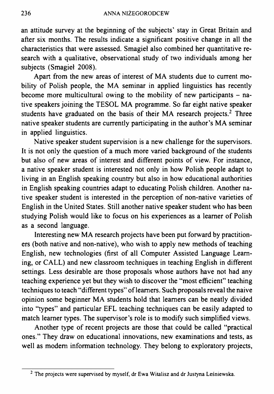an attitude survey at the beginning of the subjects' stay in Great Britain and after six months. The results indicate a significant positive change in all the characteristics that were assessed. Smagiel also combined her quantitative research with a qualitative, observational study of two individuals among her subjects (Smagiel 2008).

Apart from the new areas of interest of MA students due to current mobility of Polish people, the MA seminar in applied linguistics has recently become more multicultural owing to the mobility of new participants  $-$  native speakers joining the TESOL MA programme. So far eight native speaker students have graduated on the basis of their MA research projects.<sup>[2](#page-5-0)</sup> Three native speaker students are currently participating in the author's MA seminar in applied linguistics.

Native speaker student supervision is a new challenge for the supervisors. It is not only the question of a much more varied background of the students but also of new areas of interest and different points of view. For instance, a native speaker student is interested not only in how Polish people adapt to living in an English speaking country but also in how educational authorities in English speaking countries adapt to educating Polish children. Another native speaker student is interested in the perception of non-native varieties of English in the United States. Still another native speaker student who has been studying Polish would like to focus on his experiences as a learner of Polish as a second language.

Interesting new MA research projects have been put forward by practitioners (both native and non-native), who wish to apply new methods of teaching English, new technologies (first of all Computer Assisted Language Learning, or CALL) and new classroom techniques in teaching English in different settings. Less desirable are those proposals whose authors have not had any teaching experience yet but they wish to discover the "most efficient" teaching techniques to teach "different types" of learners. Such proposals reveal the naive opinion some beginner MA students hold that learners can be neatly divided into "types" and particular EFL teaching techniques can be easily adapted to match learner types. The supervisor's role is to modify such simplified views.

Another type of recent projects are those that could be called "practical ones." They draw on educational innovations, new examinations and tests, as well as modem information technology. They belong to exploratory projects,

<span id="page-5-0"></span> $2$  The projects were supervised by myself, dr Ewa Witalisz and dr Justyna Leśniewska.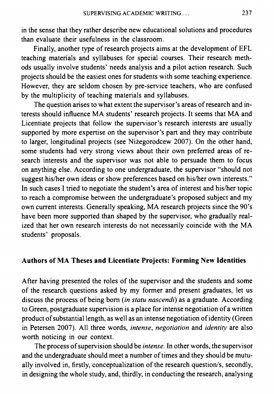in the sense that they rather describe new educational solutions and procedures than evaluate their usefulness in the classroom.

Finally, another type of research projects aims at the development of EFL teaching materials and syllabuses for special courses. Their research methods usually involve students' needs analysis and a pilot action research. Such projects should be the easiest ones for students with some teaching experience. However, they are seldom chosen by pre-service teachers, who are confused by the multiplicity of teaching materials and syllabuses.

The question arises to what extent the supervisor's areas of research and interests should influence MA students' research projects. It seems that MA and Licentiate projects that follow the supervisor's research interests are usually supported by more expertise on the supervisor's part and they may contribute to larger, longitudinal projects (see Nizegorodcew 2007). On the other hand, some students had very strong views about their own preferred areas of research interests and the supervisor was not able to persuade them to focus on anything else. According to one undergraduate, the supervisor "should not suggest his/her own ideas or show preferences based on his/her own interests." In such cases I tried to negotiate the student's area of interest and his/her topic to reach a compromise between the undergraduate's proposed subject and my own current interests. Generally speaking, MA research projects since the 90's have been more supported than shaped by the supervisor, who gradually realized that her own research interests do not necessarily coincide with the MA students' proposals.

### **Authors of MA Theses and Licentiate Projects: Forming New Identities**

After having presented the roles of the supervisor and the students and some of the research questions asked by my former and present graduates, let us discuss the process of being bom (in *statu nascendi)* as a graduate. According to Green, postgraduate supervision is a place for intense negotiation of a written product of substantial length, as well as an intense negotiation of identity (Green in Petersen 2007). All three words, *intense, negotiation* and *identity* are also worth noticing in our context.

The process of supervision should be *intense*. In other words, the supervisor and the undergraduate should meet a number of times and they should be mutually involved in, firstly, conceptualization of the research question/s, secondly, in designing the whole study, and, thirdly, in conducting the research, analysing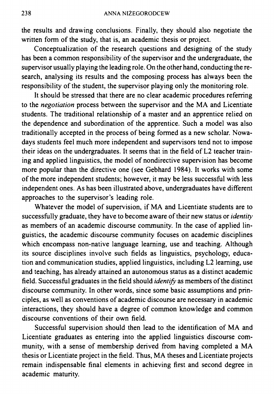the results and drawing conclusions. Finally, they should also negotiate the written form of the study, that is, an academic thesis or project.

Conceptualization of the research questions and designing of the study has been a common responsibility of the supervisor and the undergraduate, the supervisor usually playing the leading role. On the other hand, conducting the research, analysing its results and the composing process has always been the responsibility of the student, the supervisor playing only the monitoring role.

It should be stressed that there are no clear academic procedures referring to the *negotiation* process between the supervisor and the MA and Licentiate students. The traditional relationship of a master and an apprentice relied on the dependence and subordination of the apprentice. Such a model was also traditionally accepted in the process of being formed as a new scholar. Nowadays students feel much more independent and supervisors tend not to impose their ideas on the undergraduates. It seems that in the field of L2 teacher training and applied linguistics, the model of nondirective supervision has become more popular than the directive one (see Gebhard 1984). It works with some of the more independent students; however, it may be less successful with less independent ones. As has been illustrated above, undergraduates have different approaches to the supervisor's leading role.

Whatever the model of supervision, if MA and Licentiate students are to successfully graduate, they have to become aware of their new status or *identity* as members of an academic discourse community. In the case of applied linguistics, the academic discourse community focuses on academic disciplines which encompass non-native language learning, use and teaching. Although its source disciplines involve such fields as linguistics, psychology, education and communication studies, applied linguistics, including L2 learning, use and teaching, has already attained an autonomous status as a distinct academic field. Successful graduates in the field should *identify* as members of the distinct discourse community. In other words, since some basic assumptions and principles, as well as conventions of academic discourse are necessary in academic interactions, they should have a degree of common knowledge and common discourse conventions of their own field.

Successful supervision should then lead to the identification of MA and Licentiate graduates as entering into the applied linguistics discourse community, with a sense of membership derived from having completed a MA thesis or Licentiate project in the field. Thus, MA theses and Licentiate projects remain indispensable final elements in achieving first and second degree in academic maturity.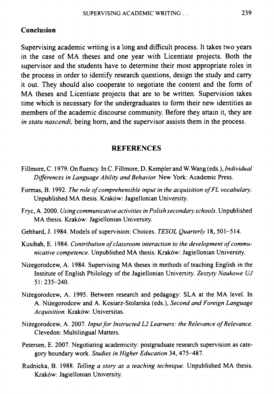#### **Conclusion**

Supervising academic writing is a long and difficult process. It takes two years in the case of MA theses and one year with Licentiate projects. Both the supervisor and the students have to determine their most appropriate roles in the process in order to identify research questions, design the study and carry it out. They should also cooperate to negotiate the content and the form of MA theses and Licentiate projects that are to be written. Supervision takes time which is necessary for the undergraduates to form their new identities as members of the academic discourse community. Before they attain it, they are *in statu nascendi,* being bom, and the supervisor assists them in the process.

#### **REFERENCES**

- Fillmore, C. 1979. On fluency. In C. Fillmore, D. Kempler and W.Wang (eds.), *Individual Differences in Language Ability and Behavior.* New York: Academic Press.
- Formas, B. 1992. *The role ofcomprehensible input in the acquisition ofFL vocabulary.* Unpublished MA thesis. Kraków: Jagiellonian University.
- Frye, A. 2000. *Using communicative activities in Polish secondary schools.* Unpublished MA thesis. Kraków: Jagiellonian University.
- Gebhard, J. 1984. Models of supervision: Choices. *TESOL Quarterly* 18, 501-514.
- Kusibab, E. 1984. *Contribution ofclassroom interaction to the development ofcommunicative competence.* Unpublished MA thesis. Kraków: Jagiellonian University.
- Niżegorodcew, A. 1984. Supervising MA theses in methods ofteaching English in the Institute of English Philology ofthe Jagiellonian University. *Zeszyty Naukowe UJ* 51: 235-240.
- Niżegorodcew, A. 1995. Between research and pedagogy: SLA at the MA level. In A. Niżegorodcew and A. Kosiarz-Stolarska (eds.), *Second and Foreign Language Acquisition.* Kraków: Universitas.
- Niżegorodcew, A. 2007. *InputforInstructed L2 Learners: the Relevance ofRelevance.* Clevedon: Multilingual Matters.
- Petersen, E. 2007. Negotiating academicity: postgraduate research supervision as category boundary work. *Studies in Higher Education* 34, 475-487.
- Rudnicka, B. 1988. *Telling a story as a teaching technique.* Unpublished MA thesis. Kraków: Jagiellonian University.